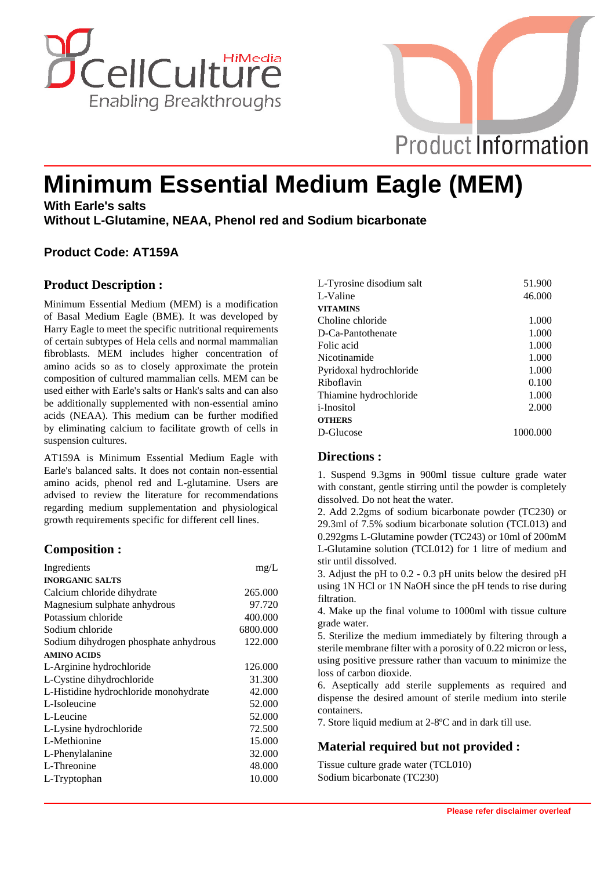



# **Minimum Essential Medium Eagle (MEM)**

**With Earle's salts Without L-Glutamine, NEAA, Phenol red and Sodium bicarbonate**

## **Product Code: AT159A**

## **Product Description :**

Minimum Essential Medium (MEM) is a modification of Basal Medium Eagle (BME). It was developed by Harry Eagle to meet the specific nutritional requirements of certain subtypes of Hela cells and normal mammalian fibroblasts. MEM includes higher concentration of amino acids so as to closely approximate the protein composition of cultured mammalian cells. MEM can be used either with Earle's salts or Hank's salts and can also be additionally supplemented with non-essential amino acids (NEAA). This medium can be further modified by eliminating calcium to facilitate growth of cells in suspension cultures.

AT159A is Minimum Essential Medium Eagle with Earle's balanced salts. It does not contain non-essential amino acids, phenol red and L-glutamine. Users are advised to review the literature for recommendations regarding medium supplementation and physiological growth requirements specific for different cell lines.

## **Composition :**

| Ingredients                           | mg/L     |
|---------------------------------------|----------|
| <b>INORGANIC SALTS</b>                |          |
| Calcium chloride dihydrate            | 265.000  |
| Magnesium sulphate anhydrous          | 97.720   |
| Potassium chloride                    | 400.000  |
| Sodium chloride                       | 6800.000 |
| Sodium dihydrogen phosphate anhydrous | 122.000  |
| <b>AMINO ACIDS</b>                    |          |
| L-Arginine hydrochloride              | 126.000  |
| L-Cystine dihydrochloride             | 31.300   |
| L-Histidine hydrochloride monohydrate | 42.000   |
| L-Isoleucine                          | 52.000   |
| L-Leucine                             | 52.000   |
| L-Lysine hydrochloride                | 72.500   |
| L-Methionine                          | 15.000   |
| L-Phenylalanine                       | 32.000   |
| L-Threonine                           | 48.000   |
| L-Tryptophan                          | 10.000   |

| L-Tyrosine disodium salt | 51.900   |
|--------------------------|----------|
| L-Valine                 | 46.000   |
| <b>VITAMINS</b>          |          |
| Choline chloride         | 1.000    |
| D-Ca-Pantothenate        | 1.000    |
| Folic acid               | 1.000    |
| Nicotinamide             | 1.000    |
| Pyridoxal hydrochloride  | 1.000    |
| Riboflavin               | 0.100    |
| Thiamine hydrochloride   | 1.000    |
| i-Inositol               | 2.000    |
| <b>OTHERS</b>            |          |
| D-Glucose                | 1000.000 |
|                          |          |

#### **Directions :**

1. Suspend 9.3gms in 900ml tissue culture grade water with constant, gentle stirring until the powder is completely dissolved. Do not heat the water.

2. Add 2.2gms of sodium bicarbonate powder (TC230) or 29.3ml of 7.5% sodium bicarbonate solution (TCL013) and 0.292gms L-Glutamine powder (TC243) or 10ml of 200mM L-Glutamine solution (TCL012) for 1 litre of medium and stir until dissolved.

3. Adjust the pH to 0.2 - 0.3 pH units below the desired pH using 1N HCl or 1N NaOH since the pH tends to rise during filtration.

4. Make up the final volume to 1000ml with tissue culture grade water.

5. Sterilize the medium immediately by filtering through a sterile membrane filter with a porosity of 0.22 micron or less, using positive pressure rather than vacuum to minimize the loss of carbon dioxide.

6. Aseptically add sterile supplements as required and dispense the desired amount of sterile medium into sterile containers.

7. Store liquid medium at 2-8ºC and in dark till use.

## **Material required but not provided :**

Tissue culture grade water (TCL010) Sodium bicarbonate (TC230)